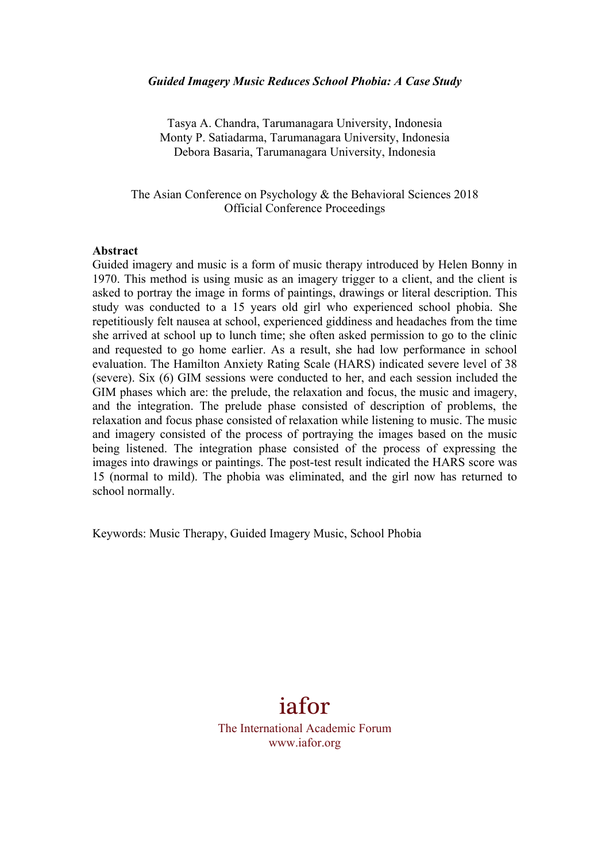#### *Guided Imagery Music Reduces School Phobia: A Case Study*

Tasya A. Chandra, Tarumanagara University, Indonesia Monty P. Satiadarma, Tarumanagara University, Indonesia Debora Basaria, Tarumanagara University, Indonesia

The Asian Conference on Psychology & the Behavioral Sciences 2018 Official Conference Proceedings

#### **Abstract**

Guided imagery and music is a form of music therapy introduced by Helen Bonny in 1970. This method is using music as an imagery trigger to a client, and the client is asked to portray the image in forms of paintings, drawings or literal description. This study was conducted to a 15 years old girl who experienced school phobia. She repetitiously felt nausea at school, experienced giddiness and headaches from the time she arrived at school up to lunch time; she often asked permission to go to the clinic and requested to go home earlier. As a result, she had low performance in school evaluation. The Hamilton Anxiety Rating Scale (HARS) indicated severe level of 38 (severe). Six (6) GIM sessions were conducted to her, and each session included the GIM phases which are: the prelude, the relaxation and focus, the music and imagery, and the integration. The prelude phase consisted of description of problems, the relaxation and focus phase consisted of relaxation while listening to music. The music and imagery consisted of the process of portraying the images based on the music being listened. The integration phase consisted of the process of expressing the images into drawings or paintings. The post-test result indicated the HARS score was 15 (normal to mild). The phobia was eliminated, and the girl now has returned to school normally.

Keywords: Music Therapy, Guided Imagery Music, School Phobia

iafor The International Academic Forum www.iafor.org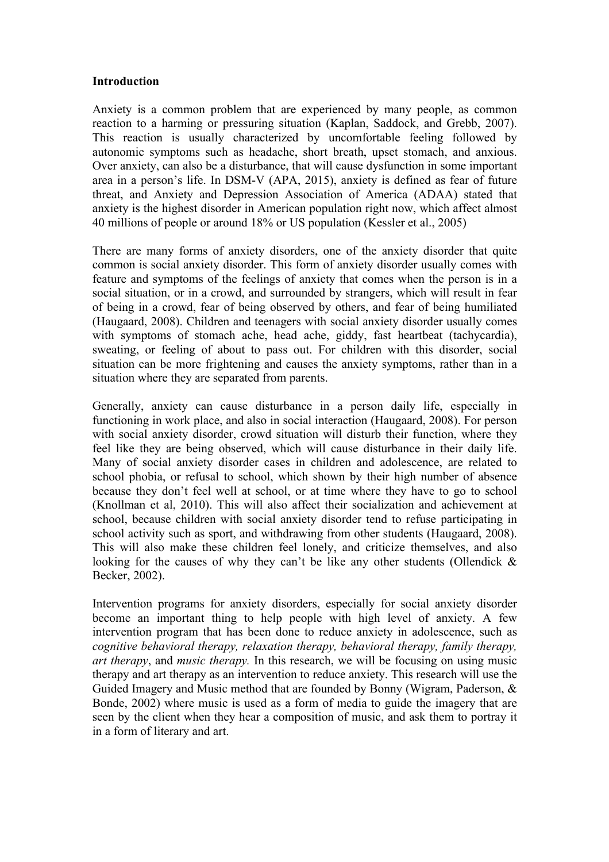## **Introduction**

Anxiety is a common problem that are experienced by many people, as common reaction to a harming or pressuring situation (Kaplan, Saddock, and Grebb, 2007). This reaction is usually characterized by uncomfortable feeling followed by autonomic symptoms such as headache, short breath, upset stomach, and anxious. Over anxiety, can also be a disturbance, that will cause dysfunction in some important area in a person's life. In DSM-V (APA, 2015), anxiety is defined as fear of future threat, and Anxiety and Depression Association of America (ADAA) stated that anxiety is the highest disorder in American population right now, which affect almost 40 millions of people or around 18% or US population (Kessler et al., 2005)

There are many forms of anxiety disorders, one of the anxiety disorder that quite common is social anxiety disorder. This form of anxiety disorder usually comes with feature and symptoms of the feelings of anxiety that comes when the person is in a social situation, or in a crowd, and surrounded by strangers, which will result in fear of being in a crowd, fear of being observed by others, and fear of being humiliated (Haugaard, 2008). Children and teenagers with social anxiety disorder usually comes with symptoms of stomach ache, head ache, giddy, fast heartbeat (tachycardia), sweating, or feeling of about to pass out. For children with this disorder, social situation can be more frightening and causes the anxiety symptoms, rather than in a situation where they are separated from parents.

Generally, anxiety can cause disturbance in a person daily life, especially in functioning in work place, and also in social interaction (Haugaard, 2008). For person with social anxiety disorder, crowd situation will disturb their function, where they feel like they are being observed, which will cause disturbance in their daily life. Many of social anxiety disorder cases in children and adolescence, are related to school phobia, or refusal to school, which shown by their high number of absence because they don't feel well at school, or at time where they have to go to school (Knollman et al, 2010). This will also affect their socialization and achievement at school, because children with social anxiety disorder tend to refuse participating in school activity such as sport, and withdrawing from other students (Haugaard, 2008). This will also make these children feel lonely, and criticize themselves, and also looking for the causes of why they can't be like any other students (Ollendick  $\&$ Becker, 2002).

Intervention programs for anxiety disorders, especially for social anxiety disorder become an important thing to help people with high level of anxiety. A few intervention program that has been done to reduce anxiety in adolescence, such as *cognitive behavioral therapy, relaxation therapy, behavioral therapy, family therapy, art therapy*, and *music therapy.* In this research, we will be focusing on using music therapy and art therapy as an intervention to reduce anxiety. This research will use the Guided Imagery and Music method that are founded by Bonny (Wigram, Paderson, & Bonde, 2002) where music is used as a form of media to guide the imagery that are seen by the client when they hear a composition of music, and ask them to portray it in a form of literary and art.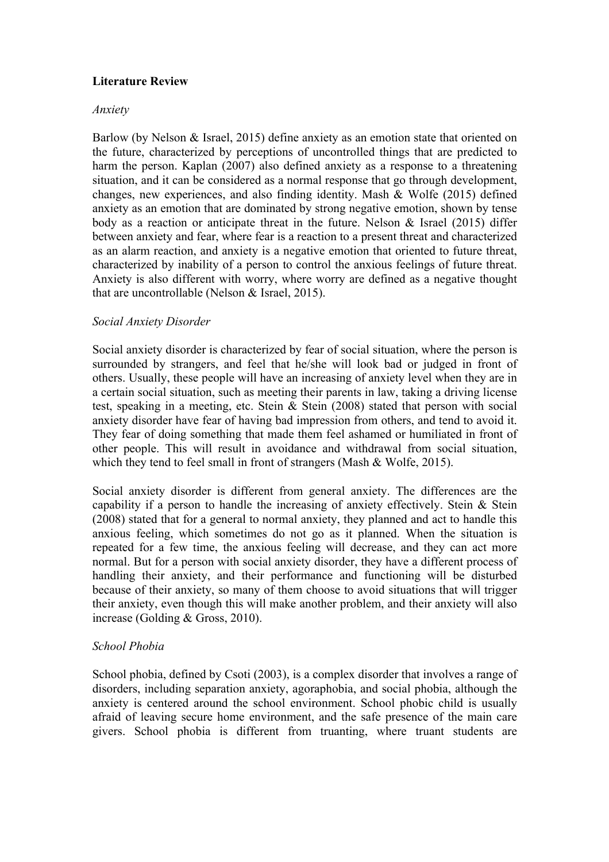# **Literature Review**

## *Anxiety*

Barlow (by Nelson & Israel, 2015) define anxiety as an emotion state that oriented on the future, characterized by perceptions of uncontrolled things that are predicted to harm the person. Kaplan (2007) also defined anxiety as a response to a threatening situation, and it can be considered as a normal response that go through development, changes, new experiences, and also finding identity. Mash & Wolfe (2015) defined anxiety as an emotion that are dominated by strong negative emotion, shown by tense body as a reaction or anticipate threat in the future. Nelson  $\&$  Israel (2015) differ between anxiety and fear, where fear is a reaction to a present threat and characterized as an alarm reaction, and anxiety is a negative emotion that oriented to future threat, characterized by inability of a person to control the anxious feelings of future threat. Anxiety is also different with worry, where worry are defined as a negative thought that are uncontrollable (Nelson & Israel, 2015).

## *Social Anxiety Disorder*

Social anxiety disorder is characterized by fear of social situation, where the person is surrounded by strangers, and feel that he/she will look bad or judged in front of others. Usually, these people will have an increasing of anxiety level when they are in a certain social situation, such as meeting their parents in law, taking a driving license test, speaking in a meeting, etc. Stein & Stein (2008) stated that person with social anxiety disorder have fear of having bad impression from others, and tend to avoid it. They fear of doing something that made them feel ashamed or humiliated in front of other people. This will result in avoidance and withdrawal from social situation, which they tend to feel small in front of strangers (Mash & Wolfe, 2015).

Social anxiety disorder is different from general anxiety. The differences are the capability if a person to handle the increasing of anxiety effectively. Stein & Stein (2008) stated that for a general to normal anxiety, they planned and act to handle this anxious feeling, which sometimes do not go as it planned. When the situation is repeated for a few time, the anxious feeling will decrease, and they can act more normal. But for a person with social anxiety disorder, they have a different process of handling their anxiety, and their performance and functioning will be disturbed because of their anxiety, so many of them choose to avoid situations that will trigger their anxiety, even though this will make another problem, and their anxiety will also increase (Golding & Gross, 2010).

## *School Phobia*

School phobia, defined by Csoti (2003), is a complex disorder that involves a range of disorders, including separation anxiety, agoraphobia, and social phobia, although the anxiety is centered around the school environment. School phobic child is usually afraid of leaving secure home environment, and the safe presence of the main care givers. School phobia is different from truanting, where truant students are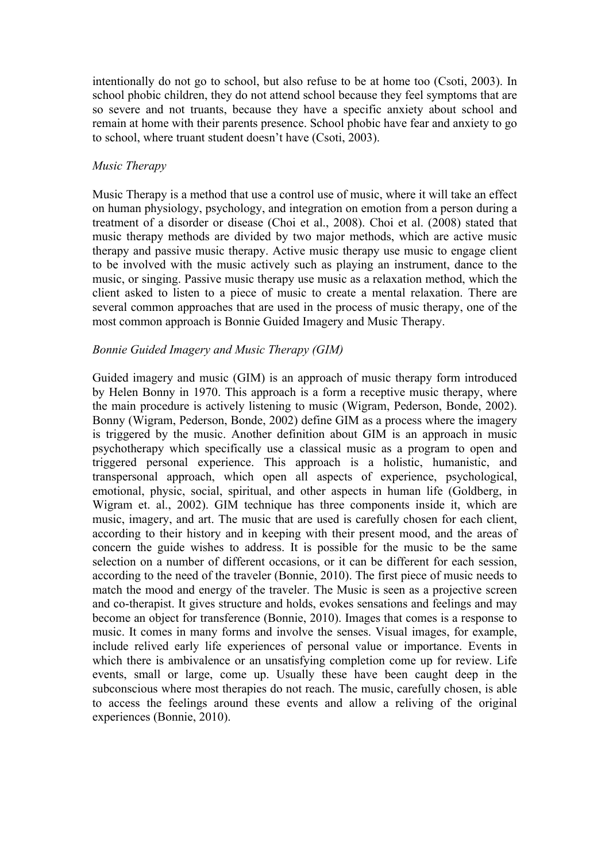intentionally do not go to school, but also refuse to be at home too (Csoti, 2003). In school phobic children, they do not attend school because they feel symptoms that are so severe and not truants, because they have a specific anxiety about school and remain at home with their parents presence. School phobic have fear and anxiety to go to school, where truant student doesn't have (Csoti, 2003).

## *Music Therapy*

Music Therapy is a method that use a control use of music, where it will take an effect on human physiology, psychology, and integration on emotion from a person during a treatment of a disorder or disease (Choi et al., 2008). Choi et al. (2008) stated that music therapy methods are divided by two major methods, which are active music therapy and passive music therapy. Active music therapy use music to engage client to be involved with the music actively such as playing an instrument, dance to the music, or singing. Passive music therapy use music as a relaxation method, which the client asked to listen to a piece of music to create a mental relaxation. There are several common approaches that are used in the process of music therapy, one of the most common approach is Bonnie Guided Imagery and Music Therapy.

## *Bonnie Guided Imagery and Music Therapy (GIM)*

Guided imagery and music (GIM) is an approach of music therapy form introduced by Helen Bonny in 1970. This approach is a form a receptive music therapy, where the main procedure is actively listening to music (Wigram, Pederson, Bonde, 2002). Bonny (Wigram, Pederson, Bonde, 2002) define GIM as a process where the imagery is triggered by the music. Another definition about GIM is an approach in music psychotherapy which specifically use a classical music as a program to open and triggered personal experience. This approach is a holistic, humanistic, and transpersonal approach, which open all aspects of experience, psychological, emotional, physic, social, spiritual, and other aspects in human life (Goldberg, in Wigram et. al., 2002). GIM technique has three components inside it, which are music, imagery, and art. The music that are used is carefully chosen for each client, according to their history and in keeping with their present mood, and the areas of concern the guide wishes to address. It is possible for the music to be the same selection on a number of different occasions, or it can be different for each session, according to the need of the traveler (Bonnie, 2010). The first piece of music needs to match the mood and energy of the traveler. The Music is seen as a projective screen and co-therapist. It gives structure and holds, evokes sensations and feelings and may become an object for transference (Bonnie, 2010). Images that comes is a response to music. It comes in many forms and involve the senses. Visual images, for example, include relived early life experiences of personal value or importance. Events in which there is ambivalence or an unsatisfying completion come up for review. Life events, small or large, come up. Usually these have been caught deep in the subconscious where most therapies do not reach. The music, carefully chosen, is able to access the feelings around these events and allow a reliving of the original experiences (Bonnie, 2010).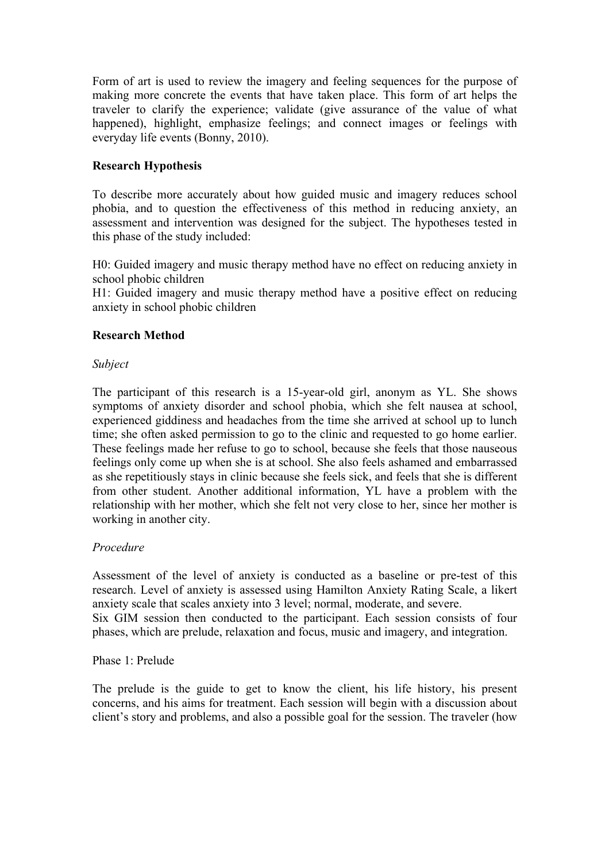Form of art is used to review the imagery and feeling sequences for the purpose of making more concrete the events that have taken place. This form of art helps the traveler to clarify the experience; validate (give assurance of the value of what happened), highlight, emphasize feelings; and connect images or feelings with everyday life events (Bonny, 2010).

# **Research Hypothesis**

To describe more accurately about how guided music and imagery reduces school phobia, and to question the effectiveness of this method in reducing anxiety, an assessment and intervention was designed for the subject. The hypotheses tested in this phase of the study included:

H0: Guided imagery and music therapy method have no effect on reducing anxiety in school phobic children

H1: Guided imagery and music therapy method have a positive effect on reducing anxiety in school phobic children

## **Research Method**

## *Subject*

The participant of this research is a 15-year-old girl, anonym as YL. She shows symptoms of anxiety disorder and school phobia, which she felt nausea at school, experienced giddiness and headaches from the time she arrived at school up to lunch time; she often asked permission to go to the clinic and requested to go home earlier. These feelings made her refuse to go to school, because she feels that those nauseous feelings only come up when she is at school. She also feels ashamed and embarrassed as she repetitiously stays in clinic because she feels sick, and feels that she is different from other student. Another additional information, YL have a problem with the relationship with her mother, which she felt not very close to her, since her mother is working in another city.

# *Procedure*

Assessment of the level of anxiety is conducted as a baseline or pre-test of this research. Level of anxiety is assessed using Hamilton Anxiety Rating Scale, a likert anxiety scale that scales anxiety into 3 level; normal, moderate, and severe. Six GIM session then conducted to the participant. Each session consists of four

phases, which are prelude, relaxation and focus, music and imagery, and integration.

## Phase 1: Prelude

The prelude is the guide to get to know the client, his life history, his present concerns, and his aims for treatment. Each session will begin with a discussion about client's story and problems, and also a possible goal for the session. The traveler (how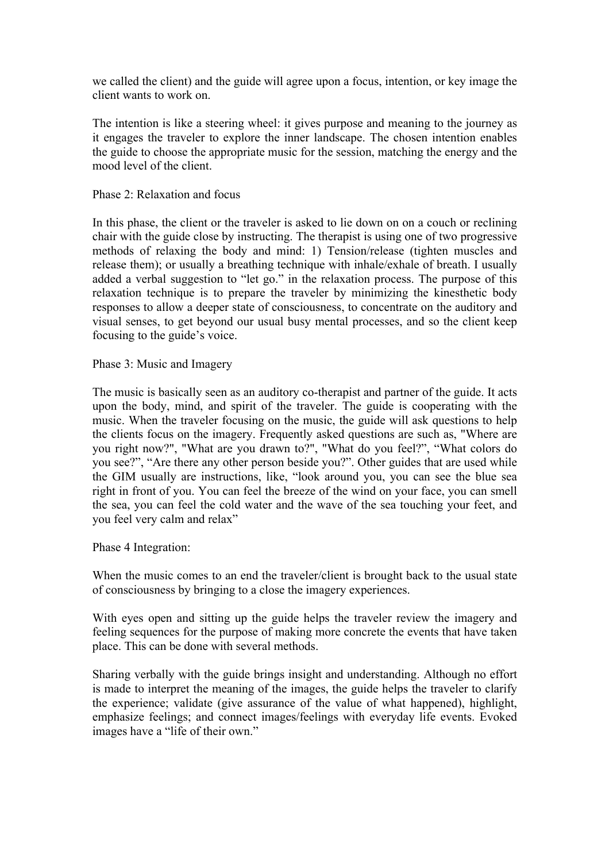we called the client) and the guide will agree upon a focus, intention, or key image the client wants to work on.

The intention is like a steering wheel: it gives purpose and meaning to the journey as it engages the traveler to explore the inner landscape. The chosen intention enables the guide to choose the appropriate music for the session, matching the energy and the mood level of the client.

## Phase 2: Relaxation and focus

In this phase, the client or the traveler is asked to lie down on on a couch or reclining chair with the guide close by instructing. The therapist is using one of two progressive methods of relaxing the body and mind: 1) Tension/release (tighten muscles and release them); or usually a breathing technique with inhale/exhale of breath. I usually added a verbal suggestion to "let go." in the relaxation process. The purpose of this relaxation technique is to prepare the traveler by minimizing the kinesthetic body responses to allow a deeper state of consciousness, to concentrate on the auditory and visual senses, to get beyond our usual busy mental processes, and so the client keep focusing to the guide's voice.

Phase 3: Music and Imagery

The music is basically seen as an auditory co-therapist and partner of the guide. It acts upon the body, mind, and spirit of the traveler. The guide is cooperating with the music. When the traveler focusing on the music, the guide will ask questions to help the clients focus on the imagery. Frequently asked questions are such as, "Where are you right now?", "What are you drawn to?", "What do you feel?", "What colors do you see?", "Are there any other person beside you?". Other guides that are used while the GIM usually are instructions, like, "look around you, you can see the blue sea right in front of you. You can feel the breeze of the wind on your face, you can smell the sea, you can feel the cold water and the wave of the sea touching your feet, and you feel very calm and relax"

Phase 4 Integration:

When the music comes to an end the traveler/client is brought back to the usual state of consciousness by bringing to a close the imagery experiences.

With eyes open and sitting up the guide helps the traveler review the imagery and feeling sequences for the purpose of making more concrete the events that have taken place. This can be done with several methods.

Sharing verbally with the guide brings insight and understanding. Although no effort is made to interpret the meaning of the images, the guide helps the traveler to clarify the experience; validate (give assurance of the value of what happened), highlight, emphasize feelings; and connect images/feelings with everyday life events. Evoked images have a "life of their own."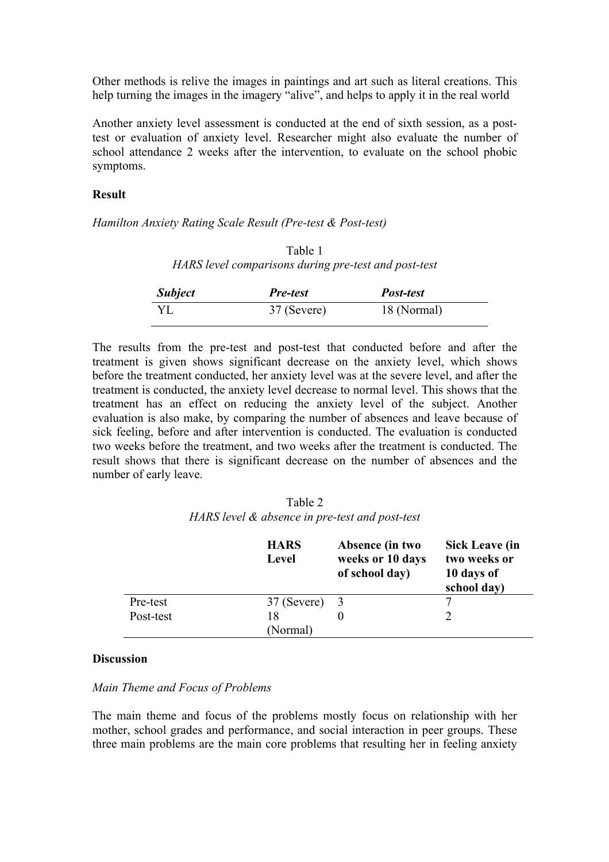Other methods is relive the images in paintings and art such as literal creations. This help turning the images in the imagery "alive", and helps to apply it in the real world

Another anxiety level assessment is conducted at the end of sixth session, as a posttest or evaluation of anxiety level. Researcher might also evaluate the number of school attendance 2 weeks after the intervention, to evaluate on the school phobic symptoms.

### **Result**

*Hamilton Anxiety Rating Scale Result (Pre-test & Post-test)*

| Table 1                                              |
|------------------------------------------------------|
| HARS level comparisons during pre-test and post-test |

| <b>Subject</b> | <i>Pre-test</i> | <i>Post-test</i> |  |
|----------------|-----------------|------------------|--|
| YL             | 37 (Severe)     | 18 (Normal)      |  |

The results from the pre-test and post-test that conducted before and after the treatment is given shows significant decrease on the anxiety level, which shows before the treatment conducted, her anxiety level was at the severe level, and after the treatment is conducted, the anxiety level decrease to normal level. This shows that the treatment has an effect on reducing the anxiety level of the subject. Another evaluation is also make, by comparing the number of absences and leave because of sick feeling, before and after intervention is conducted. The evaluation is conducted two weeks before the treatment, and two weeks after the treatment is conducted. The result shows that there is significant decrease on the number of absences and the number of early leave.

Table 2 *HARS level & absence in pre-test and post-test*

|           | <b>HARS</b><br>Level | Absence (in two<br>weeks or 10 days<br>of school day) | <b>Sick Leave (in</b><br>two weeks or<br>10 days of<br>school day) |
|-----------|----------------------|-------------------------------------------------------|--------------------------------------------------------------------|
| Pre-test  | $37$ (Severe) $3$    |                                                       |                                                                    |
| Post-test | 18                   |                                                       |                                                                    |
|           | (Normal)             |                                                       |                                                                    |

#### **Discussion**

#### *Main Theme and Focus of Problems*

The main theme and focus of the problems mostly focus on relationship with her mother, school grades and performance, and social interaction in peer groups. These three main problems are the main core problems that resulting her in feeling anxiety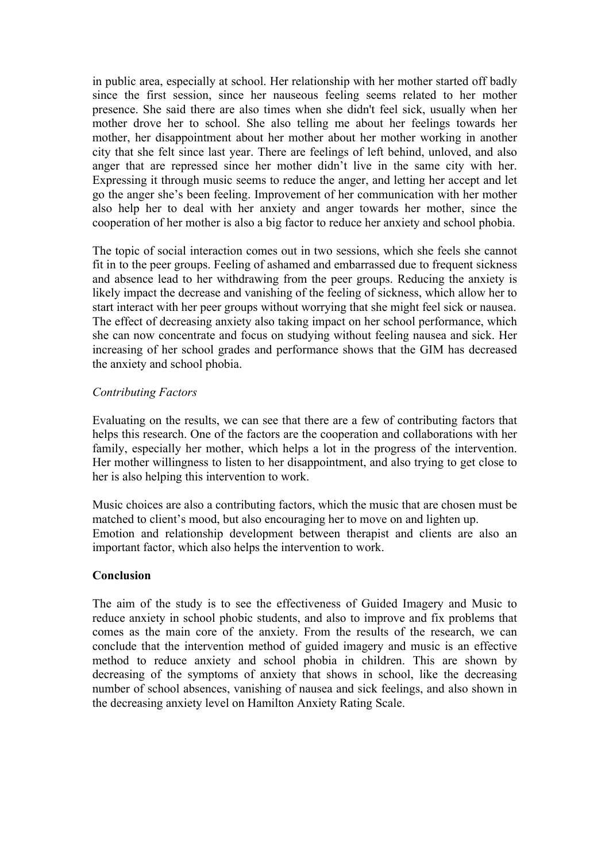in public area, especially at school. Her relationship with her mother started off badly since the first session, since her nauseous feeling seems related to her mother presence. She said there are also times when she didn't feel sick, usually when her mother drove her to school. She also telling me about her feelings towards her mother, her disappointment about her mother about her mother working in another city that she felt since last year. There are feelings of left behind, unloved, and also anger that are repressed since her mother didn't live in the same city with her. Expressing it through music seems to reduce the anger, and letting her accept and let go the anger she's been feeling. Improvement of her communication with her mother also help her to deal with her anxiety and anger towards her mother, since the cooperation of her mother is also a big factor to reduce her anxiety and school phobia.

The topic of social interaction comes out in two sessions, which she feels she cannot fit in to the peer groups. Feeling of ashamed and embarrassed due to frequent sickness and absence lead to her withdrawing from the peer groups. Reducing the anxiety is likely impact the decrease and vanishing of the feeling of sickness, which allow her to start interact with her peer groups without worrying that she might feel sick or nausea. The effect of decreasing anxiety also taking impact on her school performance, which she can now concentrate and focus on studying without feeling nausea and sick. Her increasing of her school grades and performance shows that the GIM has decreased the anxiety and school phobia.

## *Contributing Factors*

Evaluating on the results, we can see that there are a few of contributing factors that helps this research. One of the factors are the cooperation and collaborations with her family, especially her mother, which helps a lot in the progress of the intervention. Her mother willingness to listen to her disappointment, and also trying to get close to her is also helping this intervention to work.

Music choices are also a contributing factors, which the music that are chosen must be matched to client's mood, but also encouraging her to move on and lighten up. Emotion and relationship development between therapist and clients are also an important factor, which also helps the intervention to work.

## **Conclusion**

The aim of the study is to see the effectiveness of Guided Imagery and Music to reduce anxiety in school phobic students, and also to improve and fix problems that comes as the main core of the anxiety. From the results of the research, we can conclude that the intervention method of guided imagery and music is an effective method to reduce anxiety and school phobia in children. This are shown by decreasing of the symptoms of anxiety that shows in school, like the decreasing number of school absences, vanishing of nausea and sick feelings, and also shown in the decreasing anxiety level on Hamilton Anxiety Rating Scale.